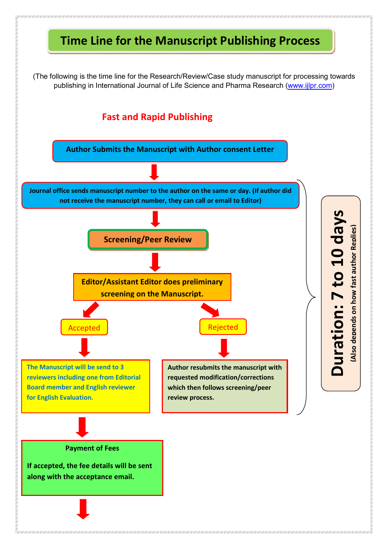## **Time Line for the Manuscript Publishing Process**

(The following is the time line for the Research/Review/Case study manuscript for processing towards publishing in International Journal of Life Science and Pharma Research (www.ijlpr.com)

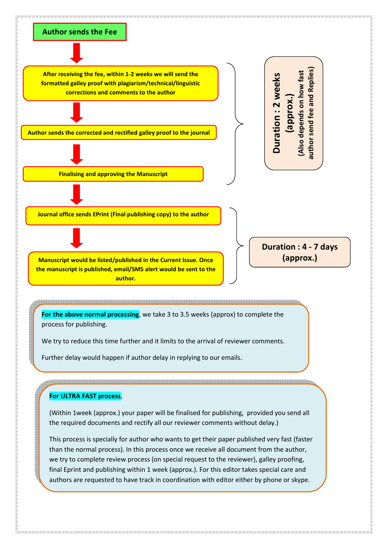

This process is specially for author who wants to get their paper published very fast (faster than the normal process). In this process once we receive all document from the author, we try to complete review process (on special request to the reviewer), galley proofing, final Eprint and publishing within 1 week (approx.). For this editor takes special care and authors are requested to have track in coordination with editor either by phone or skype.